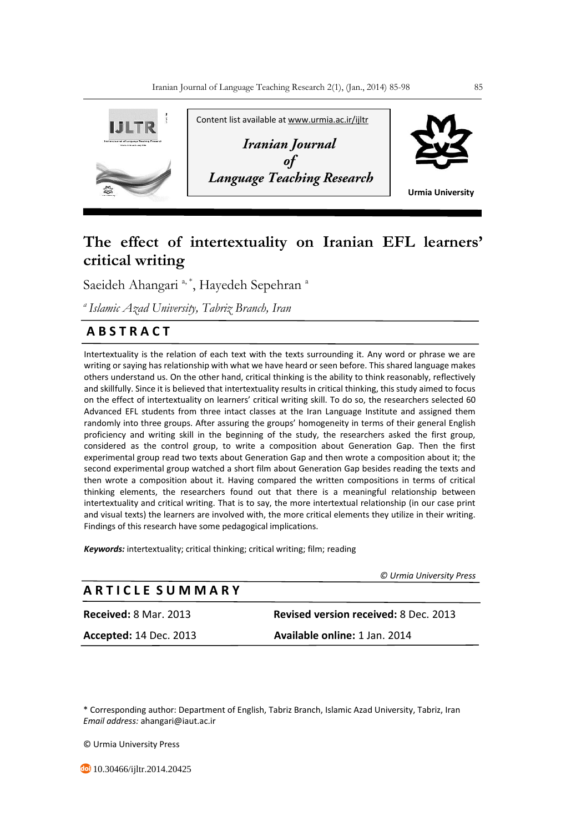

# **The effect of intertextuality on Iranian EFL learners' critical writing**

Saeideh Ahangari<sup>a,\*</sup>, Hayedeh Sepehran<sup>a</sup>

*<sup>a</sup>Islamic Azad University, Tabriz Branch, Iran* 

## **A B S T R A C T**

Intertextuality is the relation of each text with the texts surrounding it. Any word or phrase we are writing or saying has relationship with what we have heard or seen before. This shared language makes others understand us. On the other hand, critical thinking is the ability to think reasonably, reflectively and skillfully. Since it is believed that intertextuality results in critical thinking, this study aimed to focus on the effect of intertextuality on learners' critical writing skill. To do so, the researchers selected 60 Advanced EFL students from three intact classes at the Iran Language Institute and assigned them randomly into three groups. After assuring the groups' homogeneity in terms of their general English proficiency and writing skill in the beginning of the study, the researchers asked the first group, considered as the control group, to write a composition about Generation Gap. Then the first experimental group read two texts about Generation Gap and then wrote a composition about it; the second experimental group watched a short film about Generation Gap besides reading the texts and then wrote a composition about it. Having compared the written compositions in terms of critical thinking elements, the researchers found out that there is a meaningful relationship between intertextuality and critical writing. That is to say, the more intertextual relationship (in our case print and visual texts) the learners are involved with, the more critical elements they utilize in their writing. Findings of this research have some pedagogical implications.

*Keywords:* intertextuality; critical thinking; critical writing; film; reading

 *© Urmia University Press*

| A R T I C L E  S U M M A R Y  |                                              |
|-------------------------------|----------------------------------------------|
| <b>Received: 8 Mar. 2013</b>  | <b>Revised version received: 8 Dec. 2013</b> |
| <b>Accepted: 14 Dec. 2013</b> | Available online: 1 Jan. 2014                |

\* Corresponding author: Department of English, Tabriz Branch, Islamic Azad University, Tabriz, Iran *Email address:* ahangari@iaut.ac.ir

© Urmia University Press

**40** 10.30466/ijltr.2014.20425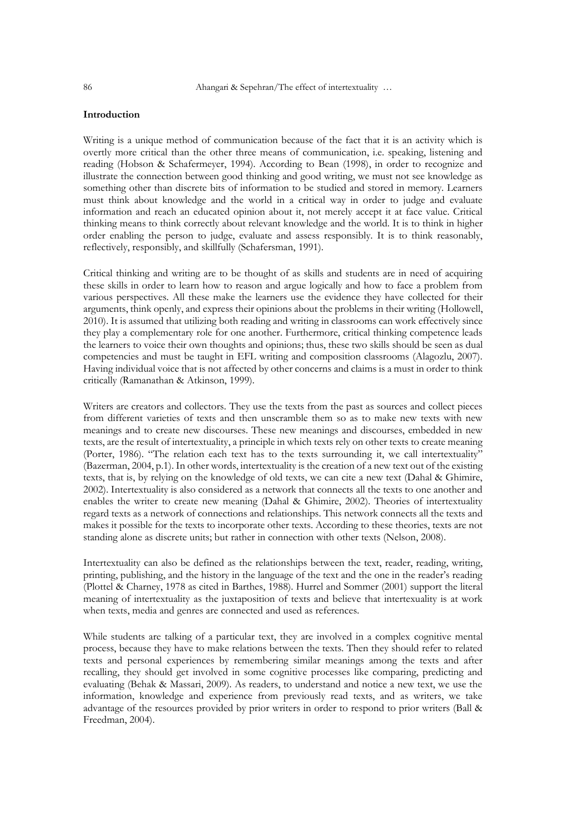## **Introduction**

Writing is a unique method of communication because of the fact that it is an activity which is overtly more critical than the other three means of communication, i.e. speaking, listening and reading (Hobson & Schafermeyer, 1994). According to Bean (1998), in order to recognize and illustrate the connection between good thinking and good writing, we must not see knowledge as something other than discrete bits of information to be studied and stored in memory. Learners must think about knowledge and the world in a critical way in order to judge and evaluate information and reach an educated opinion about it, not merely accept it at face value. Critical thinking means to think correctly about relevant knowledge and the world. It is to think in higher order enabling the person to judge, evaluate and assess responsibly. It is to think reasonably, reflectively, responsibly, and skillfully (Schafersman, 1991).

Critical thinking and writing are to be thought of as skills and students are in need of acquiring these skills in order to learn how to reason and argue logically and how to face a problem from various perspectives. All these make the learners use the evidence they have collected for their arguments, think openly, and express their opinions about the problems in their writing (Hollowell, 2010). It is assumed that utilizing both reading and writing in classrooms can work effectively since they play a complementary role for one another. Furthermore, critical thinking competence leads the learners to voice their own thoughts and opinions; thus, these two skills should be seen as dual competencies and must be taught in EFL writing and composition classrooms (Alagozlu, 2007). Having individual voice that is not affected by other concerns and claims is a must in order to think critically (Ramanathan & Atkinson, 1999).

Writers are creators and collectors. They use the texts from the past as sources and collect pieces from different varieties of texts and then unscramble them so as to make new texts with new meanings and to create new discourses. These new meanings and discourses, embedded in new texts, are the result of intertextuality, a principle in which texts rely on other texts to create meaning (Porter, 1986). "The relation each text has to the texts surrounding it, we call intertextuality" (Bazerman, 2004, p.1). In other words, intertextuality is the creation of a new text out of the existing texts, that is, by relying on the knowledge of old texts, we can cite a new text (Dahal & Ghimire, 2002). Intertextuality is also considered as a network that connects all the texts to one another and enables the writer to create new meaning (Dahal & Ghimire, 2002). Theories of intertextuality regard texts as a network of connections and relationships. This network connects all the texts and makes it possible for the texts to incorporate other texts. According to these theories, texts are not standing alone as discrete units; but rather in connection with other texts (Nelson, 2008).

Intertextuality can also be defined as the relationships between the text, reader, reading, writing, printing, publishing, and the history in the language of the text and the one in the reader's reading (Plottel & Charney, 1978 as cited in Barthes, 1988). Hurrel and Sommer (2001) support the literal meaning of intertextuality as the juxtaposition of texts and believe that intertexuality is at work when texts, media and genres are connected and used as references.

While students are talking of a particular text, they are involved in a complex cognitive mental process, because they have to make relations between the texts. Then they should refer to related texts and personal experiences by remembering similar meanings among the texts and after recalling, they should get involved in some cognitive processes like comparing, predicting and evaluating (Behak & Massari, 2009). As readers, to understand and notice a new text, we use the information, knowledge and experience from previously read texts, and as writers, we take advantage of the resources provided by prior writers in order to respond to prior writers (Ball & Freedman, 2004).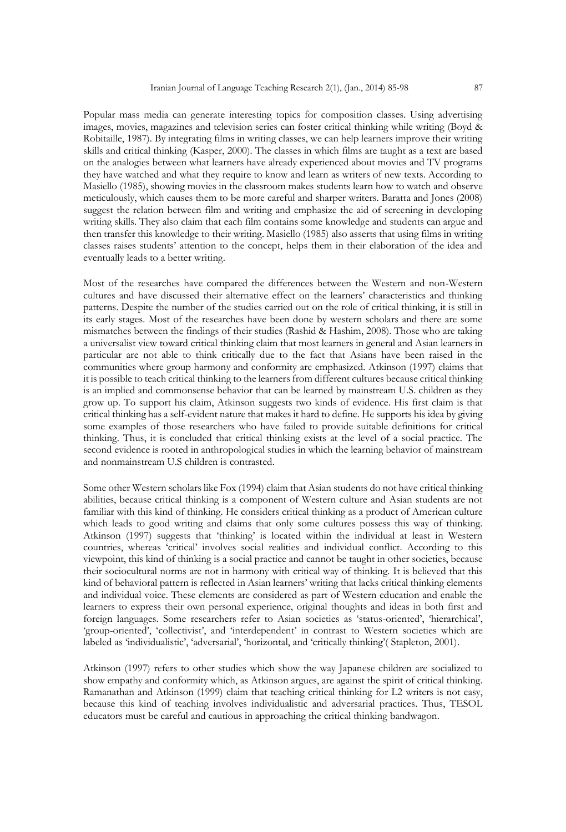Popular mass media can generate interesting topics for composition classes. Using advertising images, movies, magazines and television series can foster critical thinking while writing (Boyd & Robitaille, 1987). By integrating films in writing classes, we can help learners improve their writing skills and critical thinking (Kasper, 2000). The classes in which films are taught as a text are based on the analogies between what learners have already experienced about movies and TV programs they have watched and what they require to know and learn as writers of new texts. According to Masiello (1985), showing movies in the classroom makes students learn how to watch and observe meticulously, which causes them to be more careful and sharper writers. Baratta and Jones (2008) suggest the relation between film and writing and emphasize the aid of screening in developing writing skills. They also claim that each film contains some knowledge and students can argue and then transfer this knowledge to their writing. Masiello (1985) also asserts that using films in writing classes raises students' attention to the concept, helps them in their elaboration of the idea and eventually leads to a better writing.

Most of the researches have compared the differences between the Western and non-Western cultures and have discussed their alternative effect on the learners' characteristics and thinking patterns. Despite the number of the studies carried out on the role of critical thinking, it is still in its early stages. Most of the researches have been done by western scholars and there are some mismatches between the findings of their studies (Rashid & Hashim, 2008). Those who are taking a universalist view toward critical thinking claim that most learners in general and Asian learners in particular are not able to think critically due to the fact that Asians have been raised in the communities where group harmony and conformity are emphasized. Atkinson (1997) claims that it is possible to teach critical thinking to the learners from different cultures because critical thinking is an implied and commonsense behavior that can be learned by mainstream U.S. children as they grow up. To support his claim, Atkinson suggests two kinds of evidence. His first claim is that critical thinking has a self-evident nature that makes it hard to define. He supports his idea by giving some examples of those researchers who have failed to provide suitable definitions for critical thinking. Thus, it is concluded that critical thinking exists at the level of a social practice. The second evidence is rooted in anthropological studies in which the learning behavior of mainstream and nonmainstream U.S children is contrasted.

Some other Western scholars like Fox (1994) claim that Asian students do not have critical thinking abilities, because critical thinking is a component of Western culture and Asian students are not familiar with this kind of thinking. He considers critical thinking as a product of American culture which leads to good writing and claims that only some cultures possess this way of thinking. Atkinson (1997) suggests that 'thinking' is located within the individual at least in Western countries, whereas 'critical' involves social realities and individual conflict. According to this viewpoint, this kind of thinking is a social practice and cannot be taught in other societies, because their sociocultural norms are not in harmony with critical way of thinking. It is believed that this kind of behavioral pattern is reflected in Asian learners' writing that lacks critical thinking elements and individual voice. These elements are considered as part of Western education and enable the learners to express their own personal experience, original thoughts and ideas in both first and foreign languages. Some researchers refer to Asian societies as 'status-oriented', 'hierarchical', 'group-oriented', 'collectivist', and 'interdependent' in contrast to Western societies which are labeled as 'individualistic', 'adversarial', 'horizontal, and 'critically thinking'( Stapleton, 2001).

Atkinson (1997) refers to other studies which show the way Japanese children are socialized to show empathy and conformity which, as Atkinson argues, are against the spirit of critical thinking. Ramanathan and Atkinson (1999) claim that teaching critical thinking for L2 writers is not easy, because this kind of teaching involves individualistic and adversarial practices. Thus, TESOL educators must be careful and cautious in approaching the critical thinking bandwagon.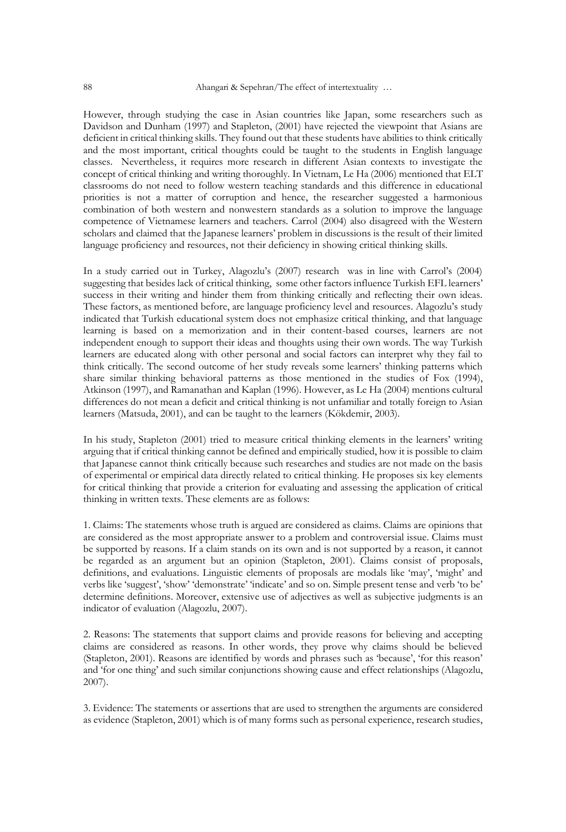However, through studying the case in Asian countries like Japan, some researchers such as Davidson and Dunham (1997) and Stapleton, (2001) have rejected the viewpoint that Asians are deficient in critical thinking skills. They found out that these students have abilities to think critically and the most important, critical thoughts could be taught to the students in English language classes. Nevertheless, it requires more research in different Asian contexts to investigate the concept of critical thinking and writing thoroughly. In Vietnam, Le Ha (2006) mentioned that ELT classrooms do not need to follow western teaching standards and this difference in educational priorities is not a matter of corruption and hence, the researcher suggested a harmonious combination of both western and nonwestern standards as a solution to improve the language competence of Vietnamese learners and teachers. Carrol (2004) also disagreed with the Western scholars and claimed that the Japanese learners' problem in discussions is the result of their limited language proficiency and resources, not their deficiency in showing critical thinking skills.

In a study carried out in Turkey, Alagozlu's (2007) research was in line with Carrol's (2004) suggesting that besides lack of critical thinking, some other factors influence Turkish EFL learners' success in their writing and hinder them from thinking critically and reflecting their own ideas. These factors, as mentioned before, are language proficiency level and resources. Alagozlu's study indicated that Turkish educational system does not emphasize critical thinking, and that language learning is based on a memorization and in their content-based courses, learners are not independent enough to support their ideas and thoughts using their own words. The way Turkish learners are educated along with other personal and social factors can interpret why they fail to think critically. The second outcome of her study reveals some learners' thinking patterns which share similar thinking behavioral patterns as those mentioned in the studies of Fox (1994), Atkinson (1997), and Ramanathan and Kaplan (1996). However, as Le Ha (2004) mentions cultural differences do not mean a deficit and critical thinking is not unfamiliar and totally foreign to Asian learners (Matsuda, 2001), and can be taught to the learners (Kökdemir, 2003).

In his study, Stapleton (2001) tried to measure critical thinking elements in the learners' writing arguing that if critical thinking cannot be defined and empirically studied, how it is possible to claim that Japanese cannot think critically because such researches and studies are not made on the basis of experimental or empirical data directly related to critical thinking. He proposes six key elements for critical thinking that provide a criterion for evaluating and assessing the application of critical thinking in written texts. These elements are as follows:

1. Claims: The statements whose truth is argued are considered as claims. Claims are opinions that are considered as the most appropriate answer to a problem and controversial issue. Claims must be supported by reasons. If a claim stands on its own and is not supported by a reason, it cannot be regarded as an argument but an opinion (Stapleton, 2001). Claims consist of proposals, definitions, and evaluations. Linguistic elements of proposals are modals like 'may', 'might' and verbs like 'suggest', 'show' 'demonstrate' 'indicate' and so on. Simple present tense and verb 'to be' determine definitions. Moreover, extensive use of adjectives as well as subjective judgments is an indicator of evaluation (Alagozlu, 2007).

2. Reasons: The statements that support claims and provide reasons for believing and accepting claims are considered as reasons. In other words, they prove why claims should be believed (Stapleton, 2001). Reasons are identified by words and phrases such as 'because', 'for this reason' and 'for one thing' and such similar conjunctions showing cause and effect relationships (Alagozlu, 2007).

3. Evidence: The statements or assertions that are used to strengthen the arguments are considered as evidence (Stapleton, 2001) which is of many forms such as personal experience, research studies,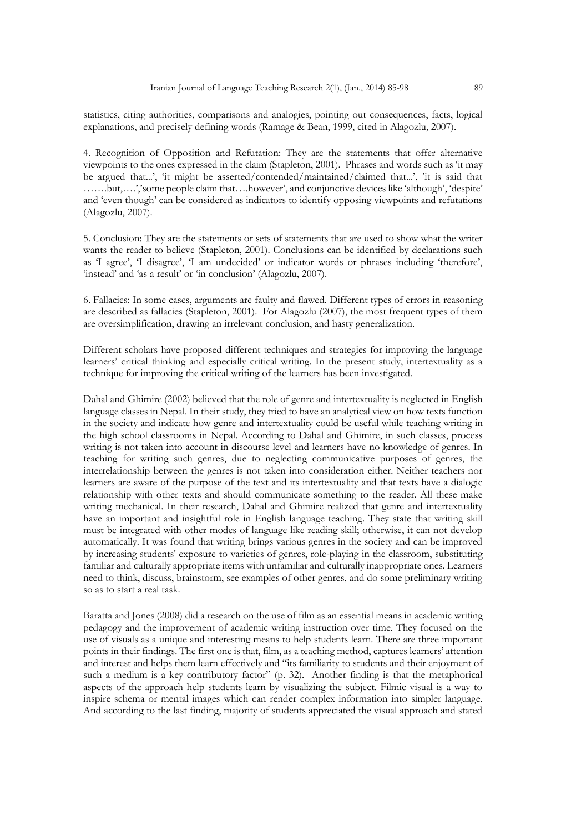statistics, citing authorities, comparisons and analogies, pointing out consequences, facts, logical explanations, and precisely defining words (Ramage & Bean, 1999, cited in Alagozlu, 2007).

4. Recognition of Opposition and Refutation: They are the statements that offer alternative viewpoints to the ones expressed in the claim (Stapleton, 2001). Phrases and words such as 'it may be argued that...', 'it might be asserted/contended/maintained/claimed that...', 'it is said that …….but,….','some people claim that….however', and conjunctive devices like 'although', 'despite' and 'even though' can be considered as indicators to identify opposing viewpoints and refutations (Alagozlu, 2007).

5. Conclusion: They are the statements or sets of statements that are used to show what the writer wants the reader to believe (Stapleton, 2001). Conclusions can be identified by declarations such as 'I agree', 'I disagree', 'I am undecided' or indicator words or phrases including 'therefore', 'instead' and 'as a result' or 'in conclusion' (Alagozlu, 2007).

6. Fallacies: In some cases, arguments are faulty and flawed. Different types of errors in reasoning are described as fallacies (Stapleton, 2001). For Alagozlu (2007), the most frequent types of them are oversimplification, drawing an irrelevant conclusion, and hasty generalization.

Different scholars have proposed different techniques and strategies for improving the language learners' critical thinking and especially critical writing. In the present study, intertextuality as a technique for improving the critical writing of the learners has been investigated.

Dahal and Ghimire (2002) believed that the role of genre and intertextuality is neglected in English language classes in Nepal. In their study, they tried to have an analytical view on how texts function in the society and indicate how genre and intertextuality could be useful while teaching writing in the high school classrooms in Nepal. According to Dahal and Ghimire, in such classes, process writing is not taken into account in discourse level and learners have no knowledge of genres. In teaching for writing such genres, due to neglecting communicative purposes of genres, the interrelationship between the genres is not taken into consideration either. Neither teachers nor learners are aware of the purpose of the text and its intertextuality and that texts have a dialogic relationship with other texts and should communicate something to the reader. All these make writing mechanical. In their research, Dahal and Ghimire realized that genre and intertextuality have an important and insightful role in English language teaching. They state that writing skill must be integrated with other modes of language like reading skill; otherwise, it can not develop automatically. It was found that writing brings various genres in the society and can be improved by increasing students' exposure to varieties of genres, role-playing in the classroom, substituting familiar and culturally appropriate items with unfamiliar and culturally inappropriate ones. Learners need to think, discuss, brainstorm, see examples of other genres, and do some preliminary writing so as to start a real task.

Baratta and Jones (2008) did a research on the use of film as an essential means in academic writing pedagogy and the improvement of academic writing instruction over time. They focused on the use of visuals as a unique and interesting means to help students learn. There are three important points in their findings. The first one is that, film, as a teaching method, captures learners' attention and interest and helps them learn effectively and "its familiarity to students and their enjoyment of such a medium is a key contributory factor" (p. 32). Another finding is that the metaphorical aspects of the approach help students learn by visualizing the subject. Filmic visual is a way to inspire schema or mental images which can render complex information into simpler language. And according to the last finding, majority of students appreciated the visual approach and stated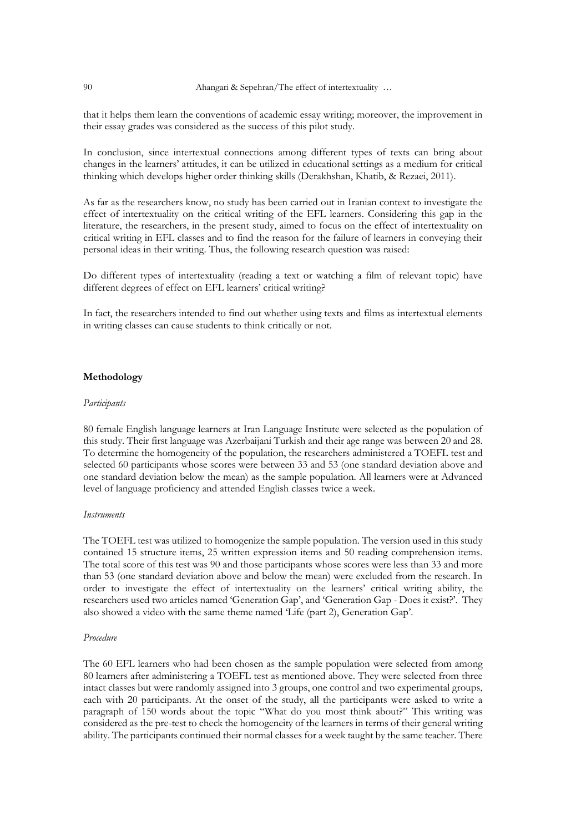that it helps them learn the conventions of academic essay writing; moreover, the improvement in their essay grades was considered as the success of this pilot study.

In conclusion, since intertextual connections among different types of texts can bring about changes in the learners' attitudes, it can be utilized in educational settings as a medium for critical thinking which develops higher order thinking skills (Derakhshan, Khatib, & Rezaei, 2011).

As far as the researchers know, no study has been carried out in Iranian context to investigate the effect of intertextuality on the critical writing of the EFL learners. Considering this gap in the literature, the researchers, in the present study, aimed to focus on the effect of intertextuality on critical writing in EFL classes and to find the reason for the failure of learners in conveying their personal ideas in their writing. Thus, the following research question was raised:

Do different types of intertextuality (reading a text or watching a film of relevant topic) have different degrees of effect on EFL learners' critical writing?

In fact, the researchers intended to find out whether using texts and films as intertextual elements in writing classes can cause students to think critically or not.

## **Methodology**

#### *Participants*

80 female English language learners at Iran Language Institute were selected as the population of this study. Their first language was Azerbaijani Turkish and their age range was between 20 and 28. To determine the homogeneity of the population, the researchers administered a TOEFL test and selected 60 participants whose scores were between 33 and 53 (one standard deviation above and one standard deviation below the mean) as the sample population. All learners were at Advanced level of language proficiency and attended English classes twice a week.

## *Instruments*

The TOEFL test was utilized to homogenize the sample population. The version used in this study contained 15 structure items, 25 written expression items and 50 reading comprehension items. The total score of this test was 90 and those participants whose scores were less than 33 and more than 53 (one standard deviation above and below the mean) were excluded from the research. In order to investigate the effect of intertextuality on the learners' critical writing ability, the researchers used two articles named 'Generation Gap', and 'Generation Gap - Does it exist?'. They also showed a video with the same theme named 'Life (part 2), Generation Gap'.

### *Procedure*

The 60 EFL learners who had been chosen as the sample population were selected from among 80 learners after administering a TOEFL test as mentioned above. They were selected from three intact classes but were randomly assigned into 3 groups, one control and two experimental groups, each with 20 participants. At the onset of the study, all the participants were asked to write a paragraph of 150 words about the topic "What do you most think about?" This writing was considered as the pre-test to check the homogeneity of the learners in terms of their general writing ability. The participants continued their normal classes for a week taught by the same teacher. There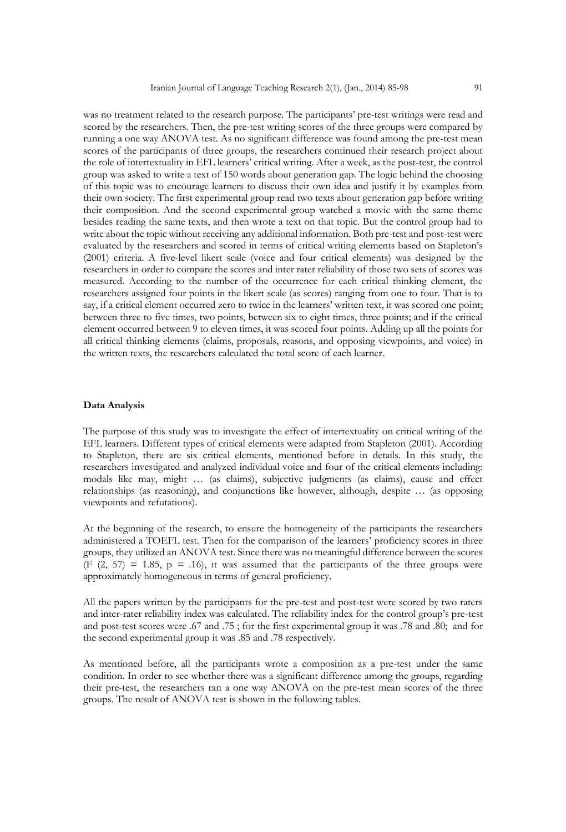was no treatment related to the research purpose. The participants' pre-test writings were read and scored by the researchers. Then, the pre-test writing scores of the three groups were compared by running a one way ANOVA test. As no significant difference was found among the pre-test mean scores of the participants of three groups, the researchers continued their research project about the role of intertextuality in EFL learners' critical writing. After a week, as the post-test, the control group was asked to write a text of 150 words about generation gap. The logic behind the choosing of this topic was to encourage learners to discuss their own idea and justify it by examples from their own society. The first experimental group read two texts about generation gap before writing their composition. And the second experimental group watched a movie with the same theme besides reading the same texts, and then wrote a text on that topic. But the control group had to write about the topic without receiving any additional information. Both pre-test and post-test were evaluated by the researchers and scored in terms of critical writing elements based on Stapleton's (2001) criteria. A five-level likert scale (voice and four critical elements) was designed by the researchers in order to compare the scores and inter rater reliability of those two sets of scores was measured. According to the number of the occurrence for each critical thinking element, the researchers assigned four points in the likert scale (as scores) ranging from one to four. That is to say, if a critical element occurred zero to twice in the learners' written text, it was scored one point; between three to five times, two points, between six to eight times, three points; and if the critical element occurred between 9 to eleven times, it was scored four points. Adding up all the points for all critical thinking elements (claims, proposals, reasons, and opposing viewpoints, and voice) in the written texts, the researchers calculated the total score of each learner.

## **Data Analysis**

The purpose of this study was to investigate the effect of intertextuality on critical writing of the EFL learners. Different types of critical elements were adapted from Stapleton (2001). According to Stapleton, there are six critical elements, mentioned before in details. In this study, the researchers investigated and analyzed individual voice and four of the critical elements including: modals like may, might … (as claims), subjective judgments (as claims), cause and effect relationships (as reasoning), and conjunctions like however, although, despite … (as opposing viewpoints and refutations).

At the beginning of the research, to ensure the homogeneity of the participants the researchers administered a TOEFL test. Then for the comparison of the learners' proficiency scores in three groups, they utilized an ANOVA test. Since there was no meaningful difference between the scores  $(F (2, 57) = 1.85, p = .16)$ , it was assumed that the participants of the three groups were approximately homogeneous in terms of general proficiency.

All the papers written by the participants for the pre-test and post-test were scored by two raters and inter-rater reliability index was calculated. The reliability index for the control group's pre-test and post-test scores were .67 and .75 ; for the first experimental group it was .78 and .80; and for the second experimental group it was .85 and .78 respectively.

As mentioned before, all the participants wrote a composition as a pre-test under the same condition. In order to see whether there was a significant difference among the groups, regarding their pre-test, the researchers ran a one way ANOVA on the pre-test mean scores of the three groups. The result of ANOVA test is shown in the following tables.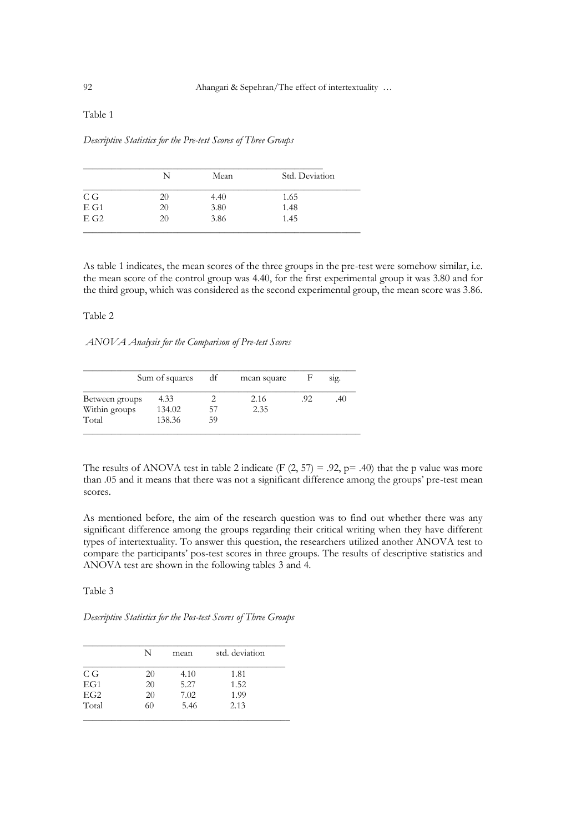## Table 1

*Descriptive Statistics for the Pre-test Scores of Three Groups*

|                    | N  | Mean | Std. Deviation |
|--------------------|----|------|----------------|
| C G                | 20 | 4.40 | 1.65           |
| $E$ G1             | 20 | 3.80 | 1.48           |
| $E$ G <sub>2</sub> | 20 | 3.86 | 1.45           |

As table 1 indicates, the mean scores of the three groups in the pre-test were somehow similar, i.e. the mean score of the control group was 4.40, for the first experimental group it was 3.80 and for the third group, which was considered as the second experimental group, the mean score was 3.86.

## Table 2

*ANOVA Analysis for the Comparison of Pre-test Scores*

|                | Sum of squares | df | mean square |     | sig. |
|----------------|----------------|----|-------------|-----|------|
| Between groups | 4.33           |    | 2.16        | .92 | .40  |
| Within groups  | 134.02         | 57 | 2.35        |     |      |
| Total          | 138.36         | 59 |             |     |      |

The results of ANOVA test in table 2 indicate (F  $(2, 57) = .92$ , p= .40) that the p value was more than .05 and it means that there was not a significant difference among the groups' pre-test mean scores.

As mentioned before, the aim of the research question was to find out whether there was any significant difference among the groups regarding their critical writing when they have different types of intertextuality. To answer this question, the researchers utilized another ANOVA test to compare the participants' pos-test scores in three groups. The results of descriptive statistics and ANOVA test are shown in the following tables 3 and 4.

Table 3

*Descriptive Statistics for the Pos-test Scores of Three Groups* 

|       | N  | mean | std. deviation |
|-------|----|------|----------------|
| C G   | 20 | 4.10 | 1.81           |
| EG1   | 20 | 5.27 | 1.52           |
| EG2   | 20 | 7.02 | 1.99           |
| Total | 60 | 5.46 | 2.13           |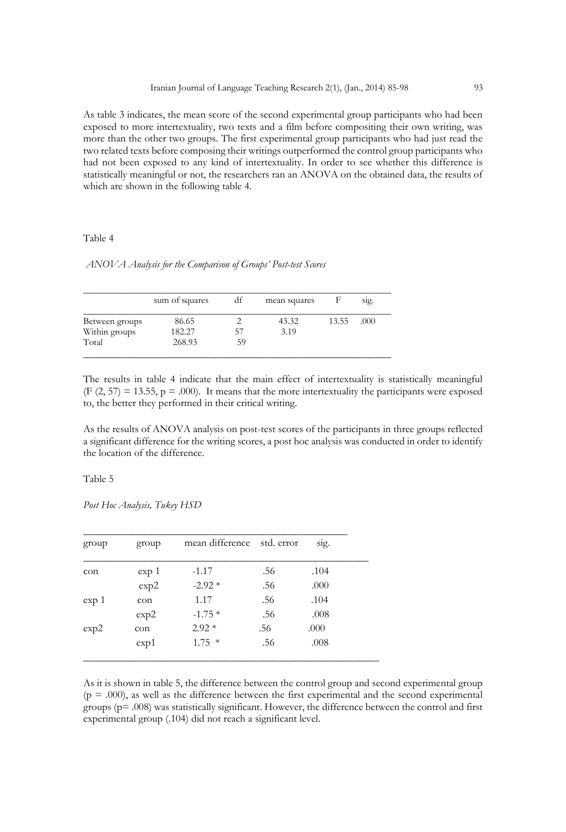As table 3 indicates, the mean score of the second experimental group participants who had been exposed to more intertextuality, two texts and a film before compositing their own writing, was more than the other two groups. The first experimental group participants who had just read the two related texts before composing their writings outperformed the control group participants who had not been exposed to any kind of intertextuality. In order to see whether this difference is statistically meaningful or not, the researchers ran an ANOVA on the obtained data, the results of which are shown in the following table 4.

## Table 4

## *ANOVA Analysis for the Comparison of Groups' Post-test Scores*

|                | sum of squares | df | mean squares |       | sig. |
|----------------|----------------|----|--------------|-------|------|
| Between groups | 86.65          |    | 43.32        | 13.55 | .000 |
| Within groups  | 182.27         | 57 | 3.19         |       |      |
| Total          | 268.93         | 59 |              |       |      |

The results in table 4 indicate that the main effect of intertextuality is statistically meaningful (F  $(2, 57) = 13.55$ , p = .000). It means that the more intertextuality the participants were exposed to, the better they performed in their critical writing.

As the results of ANOVA analysis on post-test scores of the participants in three groups reflected a significant difference for the writing scores, a post hoc analysis was conducted in order to identify the location of the difference.

## Table 5

*Post Hoc Analysis, Tukey HSD*

| group            | group | mean difference std. error |     | sig. |
|------------------|-------|----------------------------|-----|------|
| con              | exp 1 | $-1.17$                    | .56 | .104 |
|                  | exp2  | $-2.92*$                   | .56 | .000 |
| exp <sub>1</sub> | con   | 1.17                       | .56 | .104 |
|                  | exp2  | $-1.75*$                   | .56 | .008 |
| exp2             | con   | $2.92*$                    | .56 | .000 |
|                  | exp1  | $1.75*$                    | .56 | .008 |

As it is shown in table 5, the difference between the control group and second experimental group  $(p = .000)$ , as well as the difference between the first experimental and the second experimental groups ( $p = .008$ ) was statistically significant. However, the difference between the control and first experimental group (.104) did not reach a significant level.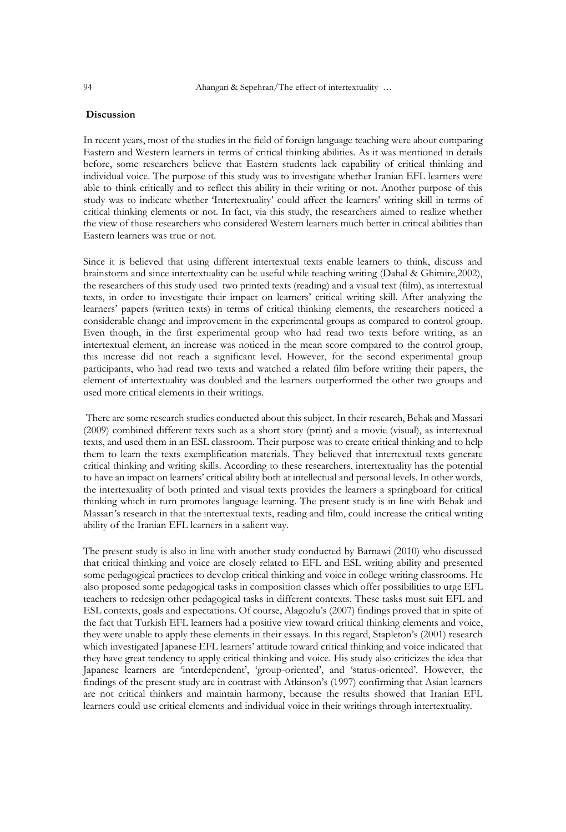## **Discussion**

In recent years, most of the studies in the field of foreign language teaching were about comparing Eastern and Western learners in terms of critical thinking abilities. As it was mentioned in details before, some researchers believe that Eastern students lack capability of critical thinking and individual voice. The purpose of this study was to investigate whether Iranian EFL learners were able to think critically and to reflect this ability in their writing or not. Another purpose of this study was to indicate whether 'Intertextuality' could affect the learners' writing skill in terms of critical thinking elements or not. In fact, via this study, the researchers aimed to realize whether the view of those researchers who considered Western learners much better in critical abilities than Eastern learners was true or not.

Since it is believed that using different intertextual texts enable learners to think, discuss and brainstorm and since intertextuality can be useful while teaching writing (Dahal & Ghimire,2002), the researchers of this study used two printed texts (reading) and a visual text (film), as intertextual texts, in order to investigate their impact on learners' critical writing skill. After analyzing the learners' papers (written texts) in terms of critical thinking elements, the researchers noticed a considerable change and improvement in the experimental groups as compared to control group. Even though, in the first experimental group who had read two texts before writing, as an intertextual element, an increase was noticed in the mean score compared to the control group, this increase did not reach a significant level. However, for the second experimental group participants, who had read two texts and watched a related film before writing their papers, the element of intertextuality was doubled and the learners outperformed the other two groups and used more critical elements in their writings.

There are some research studies conducted about this subject. In their research, Behak and Massari (2009) combined different texts such as a short story (print) and a movie (visual), as intertextual texts, and used them in an ESL classroom. Their purpose was to create critical thinking and to help them to learn the texts exemplification materials. They believed that intertextual texts generate critical thinking and writing skills. According to these researchers, intertextuality has the potential to have an impact on learners' critical ability both at intellectual and personal levels. In other words, the intertexuality of both printed and visual texts provides the learners a springboard for critical thinking which in turn promotes language learning. The present study is in line with Behak and Massari's research in that the intertextual texts, reading and film, could increase the critical writing ability of the Iranian EFL learners in a salient way.

The present study is also in line with another study conducted by Barnawi (2010) who discussed that critical thinking and voice are closely related to EFL and ESL writing ability and presented some pedagogical practices to develop critical thinking and voice in college writing classrooms. He also proposed some pedagogical tasks in composition classes which offer possibilities to urge EFL teachers to redesign other pedagogical tasks in different contexts. These tasks must suit EFL and ESL contexts, goals and expectations. Of course, Alagozlu's (2007) findings proved that in spite of the fact that Turkish EFL learners had a positive view toward critical thinking elements and voice, they were unable to apply these elements in their essays. In this regard, Stapleton's (2001) research which investigated Japanese EFL learners' attitude toward critical thinking and voice indicated that they have great tendency to apply critical thinking and voice. His study also criticizes the idea that Japanese learners are 'interdependent', 'group-oriented', and 'status-oriented'. However, the findings of the present study are in contrast with Atkinson's (1997) confirming that Asian learners are not critical thinkers and maintain harmony, because the results showed that Iranian EFL learners could use critical elements and individual voice in their writings through intertextuality.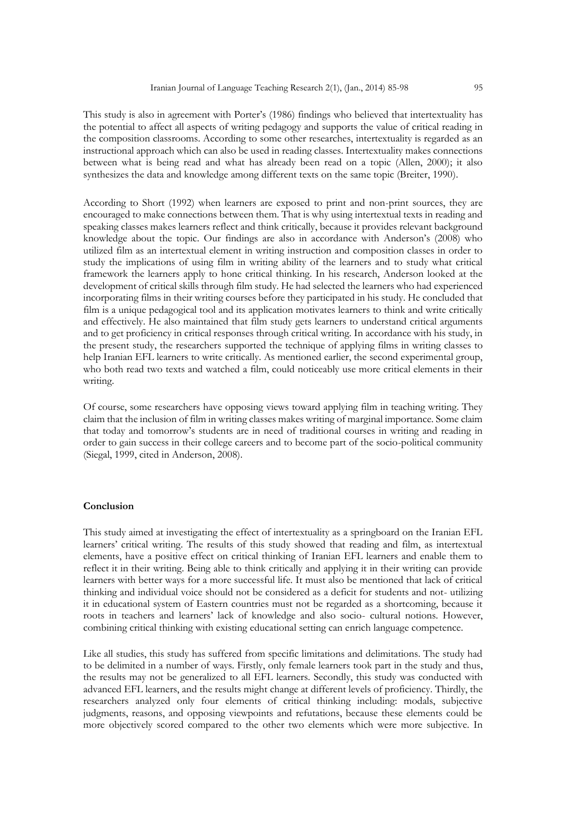This study is also in agreement with Porter's (1986) findings who believed that intertextuality has the potential to affect all aspects of writing pedagogy and supports the value of critical reading in the composition classrooms. According to some other researches, intertextuality is regarded as an instructional approach which can also be used in reading classes. Intertextuality makes connections between what is being read and what has already been read on a topic (Allen, 2000); it also synthesizes the data and knowledge among different texts on the same topic (Breiter, 1990).

According to Short (1992) when learners are exposed to print and non-print sources, they are encouraged to make connections between them. That is why using intertextual texts in reading and speaking classes makes learners reflect and think critically, because it provides relevant background knowledge about the topic. Our findings are also in accordance with Anderson's (2008) who utilized film as an intertextual element in writing instruction and composition classes in order to study the implications of using film in writing ability of the learners and to study what critical framework the learners apply to hone critical thinking. In his research, Anderson looked at the development of critical skills through film study. He had selected the learners who had experienced incorporating films in their writing courses before they participated in his study. He concluded that film is a unique pedagogical tool and its application motivates learners to think and write critically and effectively. He also maintained that film study gets learners to understand critical arguments and to get proficiency in critical responses through critical writing. In accordance with his study, in the present study, the researchers supported the technique of applying films in writing classes to help Iranian EFL learners to write critically. As mentioned earlier, the second experimental group, who both read two texts and watched a film, could noticeably use more critical elements in their writing.

Of course, some researchers have opposing views toward applying film in teaching writing. They claim that the inclusion of film in writing classes makes writing of marginal importance. Some claim that today and tomorrow's students are in need of traditional courses in writing and reading in order to gain success in their college careers and to become part of the socio-political community (Siegal, 1999, cited in Anderson, 2008).

## **Conclusion**

This study aimed at investigating the effect of intertextuality as a springboard on the Iranian EFL learners' critical writing. The results of this study showed that reading and film, as intertextual elements, have a positive effect on critical thinking of Iranian EFL learners and enable them to reflect it in their writing. Being able to think critically and applying it in their writing can provide learners with better ways for a more successful life. It must also be mentioned that lack of critical thinking and individual voice should not be considered as a deficit for students and not- utilizing it in educational system of Eastern countries must not be regarded as a shortcoming, because it roots in teachers and learners' lack of knowledge and also socio- cultural notions. However, combining critical thinking with existing educational setting can enrich language competence.

Like all studies, this study has suffered from specific limitations and delimitations. The study had to be delimited in a number of ways. Firstly, only female learners took part in the study and thus, the results may not be generalized to all EFL learners. Secondly, this study was conducted with advanced EFL learners, and the results might change at different levels of proficiency. Thirdly, the researchers analyzed only four elements of critical thinking including: modals, subjective judgments, reasons, and opposing viewpoints and refutations, because these elements could be more objectively scored compared to the other two elements which were more subjective. In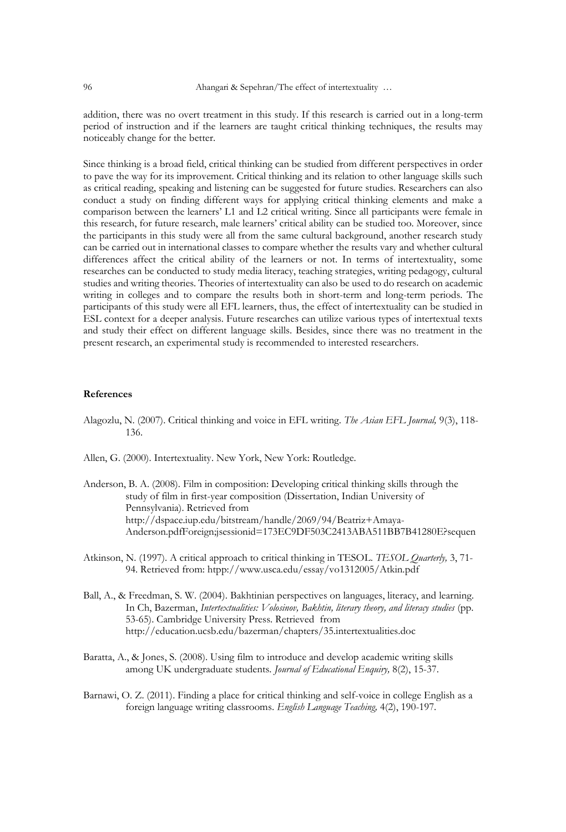addition, there was no overt treatment in this study. If this research is carried out in a long-term period of instruction and if the learners are taught critical thinking techniques, the results may noticeably change for the better.

Since thinking is a broad field, critical thinking can be studied from different perspectives in order to pave the way for its improvement. Critical thinking and its relation to other language skills such as critical reading, speaking and listening can be suggested for future studies. Researchers can also conduct a study on finding different ways for applying critical thinking elements and make a comparison between the learners' L1 and L2 critical writing. Since all participants were female in this research, for future research, male learners' critical ability can be studied too. Moreover, since the participants in this study were all from the same cultural background, another research study can be carried out in international classes to compare whether the results vary and whether cultural differences affect the critical ability of the learners or not. In terms of intertextuality, some researches can be conducted to study media literacy, teaching strategies, writing pedagogy, cultural studies and writing theories. Theories of intertextuality can also be used to do research on academic writing in colleges and to compare the results both in short-term and long-term periods. The participants of this study were all EFL learners, thus, the effect of intertextuality can be studied in ESL context for a deeper analysis. Future researches can utilize various types of intertextual texts and study their effect on different language skills. Besides, since there was no treatment in the present research, an experimental study is recommended to interested researchers.

## **References**

- Alagozlu, N. (2007). Critical thinking and voice in EFL writing. *The Asian EFL Journal,* 9(3), 118- 136.
- Allen, G. (2000). Intertextuality. New York, New York: Routledge.
- Anderson, B. A. (2008). Film in composition: Developing critical thinking skills through the study of film in first-year composition (Dissertation, Indian University of Pennsylvania). Retrieved from http://dspace.iup.edu/bitstream/handle/2069/94/Beatriz+Amaya-Anderson.pdfForeign;jsessionid=173EC9DF503C2413ABA511BB7B41280E?sequen
- Atkinson, N. (1997). A critical approach to critical thinking in TESOL. *TESOL Quarterly,* 3, 71- 94. Retrieved from: htpp://www.usca.edu/essay/vo1312005/Atkin.pdf
- Ball, A., & Freedman, S. W. (2004). Bakhtinian perspectives on languages, literacy, and learning. In Ch, Bazerman, *Intertextualities: Volosinov, Bakhtin, literary theory, and literacy studies* (pp. 53-65). Cambridge University Press. Retrieved from http://education.ucsb.edu/bazerman/chapters/35.intertextualities.doc
- Baratta, A., & Jones, S. (2008). Using film to introduce and develop academic writing skills among UK undergraduate students. *Journal of Educational Enquiry,* 8(2), 15-37.
- Barnawi, O. Z. (2011). Finding a place for critical thinking and self-voice in college English as a foreign language writing classrooms. *English Language Teaching,* 4(2), 190-197.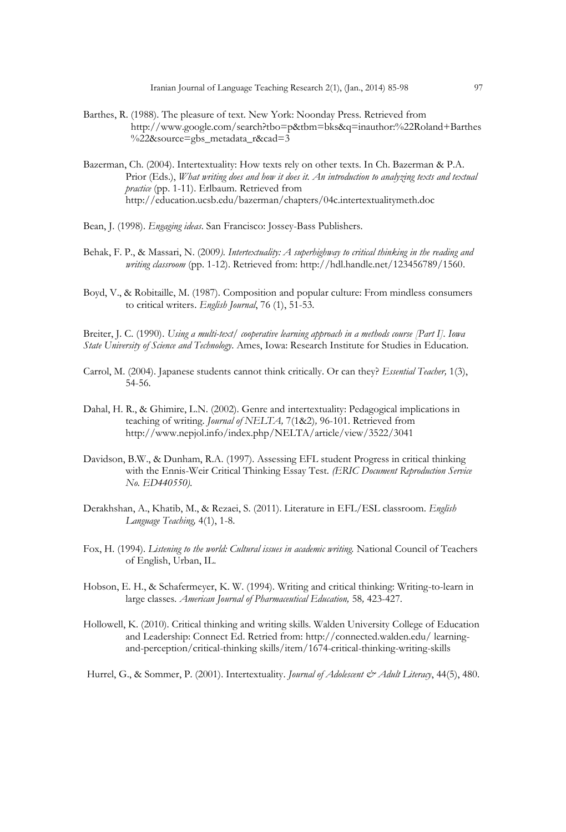- Barthes, R. (1988). The pleasure of text. New York: Noonday Press. Retrieved from http://www.google.com/search?tbo=p&tbm=bks&q=inauthor:%22Roland+Barthes %22&source=gbs\_metadata\_r&cad=3
- Bazerman, Ch. (2004). Intertextuality: How texts rely on other texts. In Ch. Bazerman & P.A. Prior (Eds.), *What writing does and how it does it. An introduction to analyzing texts and textual practice* (pp. 1-11). Erlbaum. Retrieved from http://education.ucsb.edu/bazerman/chapters/04c.intertextualitymeth.doc
- Bean, J. (1998). *Engaging ideas*. San Francisco: Jossey-Bass Publishers.
- Behak, F. P., & Massari, N. (2009*). Intertextuality: A superhighway to critical thinking in the reading and writing classroom* (pp. 1-12). Retrieved from: http://hdl.handle.net/123456789/1560.
- Boyd, V., & Robitaille, M. (1987). Composition and popular culture: From mindless consumers to critical writers. *English Journal*, 76 (1), 51-53.

Breiter, J. C. (1990). *Using a multi-text/ cooperative learning approach in a methods course [Part I]. Iowa State University of Science and Technology*. Ames, Iowa: Research Institute for Studies in Education.

- Carrol, M. (2004). Japanese students cannot think critically. Or can they? *Essential Teacher,* 1(3), 54-56.
- Dahal, H. R., & Ghimire, L.N. (2002). Genre and intertextuality: Pedagogical implications in teaching of writing. *Journal of NELTA,* 7(1&2)*,* 96-101. Retrieved from http://www.nepjol.info/index.php/NELTA/article/view/3522/3041
- Davidson, B.W., & Dunham, R.A. (1997). Assessing EFL student Progress in critical thinking with the Ennis-Weir Critical Thinking Essay Test. *(ERIC Document Reproduction Service No. ED440550).*
- Derakhshan, A., Khatib, M., & Rezaei, S. (2011). Literature in EFL/ESL classroom. *English Language Teaching,* 4(1), 1-8.
- Fox, H. (1994). *Listening to the world: Cultural issues in academic writing.* National Council of Teachers of English, Urban, IL.
- Hobson, E. H., & Schafermeyer, K. W. (1994). Writing and critical thinking: Writing-to-learn in large classes. American Journal of Pharmaceutical Education, 58, 423-427.
- Hollowell, K. (2010). Critical thinking and writing skills. Walden University College of Education and Leadership: Connect Ed. Retried from: http://connected.walden.edu/ learningand-perception/critical-thinking skills/item/1674-critical-thinking-writing-skills

Hurrel, G., & Sommer, P. (2001). Intertextuality. *Journal of Adolescent & Adult Literacy*, 44(5), 480.